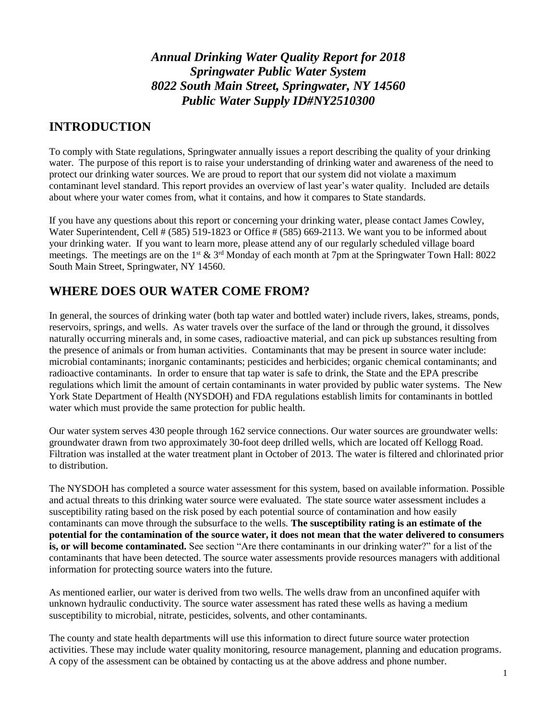*Annual Drinking Water Quality Report for 2018 Springwater Public Water System 8022 South Main Street, Springwater, NY 14560 Public Water Supply ID#NY2510300*

#### **INTRODUCTION**

To comply with State regulations, Springwater annually issues a report describing the quality of your drinking water. The purpose of this report is to raise your understanding of drinking water and awareness of the need to protect our drinking water sources. We are proud to report that our system did not violate a maximum contaminant level standard. This report provides an overview of last year's water quality. Included are details about where your water comes from, what it contains, and how it compares to State standards.

If you have any questions about this report or concerning your drinking water, please contact James Cowley, Water Superintendent, Cell # (585) 519-1823 or Office # (585) 669-2113. We want you to be informed about your drinking water. If you want to learn more, please attend any of our regularly scheduled village board meetings. The meetings are on the 1<sup>st</sup>  $\&$  3<sup>rd</sup> Monday of each month at 7pm at the Springwater Town Hall: 8022 South Main Street, Springwater, NY 14560.

#### **WHERE DOES OUR WATER COME FROM?**

In general, the sources of drinking water (both tap water and bottled water) include rivers, lakes, streams, ponds, reservoirs, springs, and wells. As water travels over the surface of the land or through the ground, it dissolves naturally occurring minerals and, in some cases, radioactive material, and can pick up substances resulting from the presence of animals or from human activities. Contaminants that may be present in source water include: microbial contaminants; inorganic contaminants; pesticides and herbicides; organic chemical contaminants; and radioactive contaminants. In order to ensure that tap water is safe to drink, the State and the EPA prescribe regulations which limit the amount of certain contaminants in water provided by public water systems. The New York State Department of Health (NYSDOH) and FDA regulations establish limits for contaminants in bottled water which must provide the same protection for public health.

Our water system serves 430 people through 162 service connections. Our water sources are groundwater wells: groundwater drawn from two approximately 30-foot deep drilled wells, which are located off Kellogg Road. Filtration was installed at the water treatment plant in October of 2013. The water is filtered and chlorinated prior to distribution.

The NYSDOH has completed a source water assessment for this system, based on available information. Possible and actual threats to this drinking water source were evaluated. The state source water assessment includes a susceptibility rating based on the risk posed by each potential source of contamination and how easily contaminants can move through the subsurface to the wells. **The susceptibility rating is an estimate of the potential for the contamination of the source water, it does not mean that the water delivered to consumers is, or will become contaminated.** See section "Are there contaminants in our drinking water?" for a list of the contaminants that have been detected. The source water assessments provide resources managers with additional information for protecting source waters into the future.

As mentioned earlier, our water is derived from two wells. The wells draw from an unconfined aquifer with unknown hydraulic conductivity. The source water assessment has rated these wells as having a medium susceptibility to microbial, nitrate, pesticides, solvents, and other contaminants.

The county and state health departments will use this information to direct future source water protection activities. These may include water quality monitoring, resource management, planning and education programs. A copy of the assessment can be obtained by contacting us at the above address and phone number.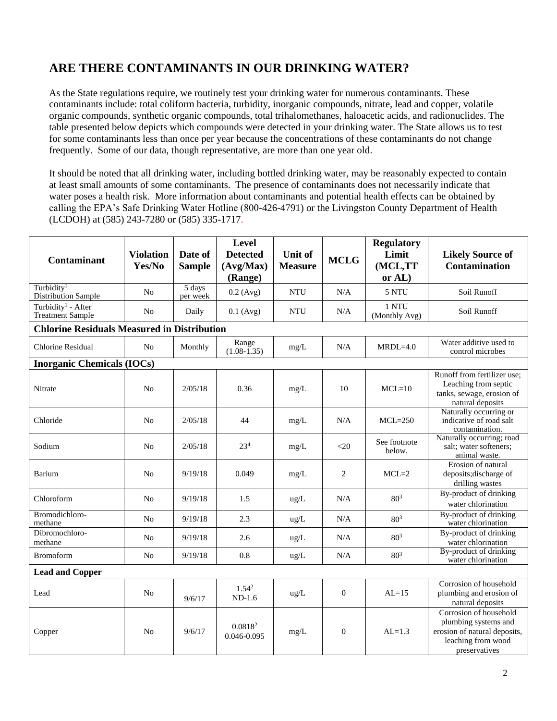# **ARE THERE CONTAMINANTS IN OUR DRINKING WATER?**

As the State regulations require, we routinely test your drinking water for numerous contaminants. These contaminants include: total coliform bacteria, turbidity, inorganic compounds, nitrate, lead and copper, volatile organic compounds, synthetic organic compounds, total trihalomethanes, haloacetic acids, and radionuclides. The table presented below depicts which compounds were detected in your drinking water. The State allows us to test for some contaminants less than once per year because the concentrations of these contaminants do not change frequently. Some of our data, though representative, are more than one year old.

It should be noted that all drinking water, including bottled drinking water, may be reasonably expected to contain at least small amounts of some contaminants. The presence of contaminants does not necessarily indicate that water poses a health risk. More information about contaminants and potential health effects can be obtained by calling the EPA's Safe Drinking Water Hotline (800-426-4791) or the Livingston County Department of Health (LCDOH) at (585) 243-7280 or (585) 335-1717.

| <b>Contaminant</b>                                        | <b>Violation</b><br>Yes/No | Date of<br><b>Sample</b> | <b>Level</b><br><b>Detected</b><br>(Avg/Max)<br>(Range) | <b>Unit of</b><br><b>Measure</b> | <b>MCLG</b>    | <b>Regulatory</b><br>Limit<br>(MCL,TT<br>or AL) | <b>Likely Source of</b><br><b>Contamination</b>                                                                       |  |  |
|-----------------------------------------------------------|----------------------------|--------------------------|---------------------------------------------------------|----------------------------------|----------------|-------------------------------------------------|-----------------------------------------------------------------------------------------------------------------------|--|--|
| Turbidity <sup>1</sup><br>Distribution Sample             | N <sub>0</sub>             | 5 days<br>per week       | $0.2$ (Avg)                                             | <b>NTU</b>                       | N/A            | 5 NTU                                           | Soil Runoff                                                                                                           |  |  |
| Turbidity <sup>1</sup> - After<br><b>Treatment Sample</b> | N <sub>0</sub>             | Daily                    | $0.1$ (Avg)                                             | <b>NTU</b>                       | N/A            | 1 NTU<br>(Monthly Avg)                          | Soil Runoff                                                                                                           |  |  |
| <b>Chlorine Residuals Measured in Distribution</b>        |                            |                          |                                                         |                                  |                |                                                 |                                                                                                                       |  |  |
| <b>Chlorine Residual</b>                                  | N <sub>o</sub>             | Monthly                  | Range<br>$(1.08 - 1.35)$                                | mg/L                             | N/A            | $MRDL=4.0$                                      | Water additive used to<br>control microbes                                                                            |  |  |
| <b>Inorganic Chemicals (IOCs)</b>                         |                            |                          |                                                         |                                  |                |                                                 |                                                                                                                       |  |  |
| Nitrate                                                   | N <sub>0</sub>             | 2/05/18                  | 0.36                                                    | mg/L                             | 10             | $MCL=10$                                        | Runoff from fertilizer use;<br>Leaching from septic<br>tanks, sewage, erosion of<br>natural deposits                  |  |  |
| Chloride                                                  | N <sub>o</sub>             | 2/05/18                  | 44                                                      | mg/L                             | N/A            | $MCL=250$                                       | Naturally occurring or<br>indicative of road salt<br>contamination.                                                   |  |  |
| Sodium                                                    | N <sub>0</sub>             | 2/05/18                  | 23 <sup>4</sup>                                         | mg/L                             | $<$ 20         | See footnote<br>below.                          | Naturally occurring; road<br>salt; water softeners;<br>animal waste.                                                  |  |  |
| Barium                                                    | N <sub>0</sub>             | 9/19/18                  | 0.049                                                   | mg/L                             | $\overline{c}$ | $MCL=2$                                         | Erosion of natural<br>deposits; discharge of<br>drilling wastes                                                       |  |  |
| Chloroform                                                | N <sub>0</sub>             | 9/19/18                  | 1.5                                                     | $\text{ug/L}$                    | N/A            | $80^{3}$                                        | By-product of drinking<br>water chlorination                                                                          |  |  |
| Bromodichloro-<br>methane                                 | N <sub>0</sub>             | 9/19/18                  | 2.3                                                     | $\text{ug/L}$                    | N/A            | 80 <sup>3</sup>                                 | By-product of drinking<br>water chlorination                                                                          |  |  |
| Dibromochloro-<br>methane                                 | N <sub>o</sub>             | 9/19/18                  | 2.6                                                     | ug/L                             | N/A            | 80 <sup>3</sup>                                 | By-product of drinking<br>water chlorination                                                                          |  |  |
| <b>Bromoform</b>                                          | N <sub>0</sub>             | 9/19/18                  | 0.8                                                     | ug/L                             | N/A            | 80 <sup>3</sup>                                 | By-product of drinking<br>water chlorination                                                                          |  |  |
| <b>Lead and Copper</b>                                    |                            |                          |                                                         |                                  |                |                                                 |                                                                                                                       |  |  |
| Lead                                                      | N <sub>0</sub>             | 9/6/17                   | $1.54^{2}$<br>$ND-1.6$                                  | $\text{ug/L}$                    | $\overline{0}$ | $AI = 15$                                       | Corrosion of household<br>plumbing and erosion of<br>natural deposits                                                 |  |  |
| Copper                                                    | N <sub>0</sub>             | 9/6/17                   | 0.0818 <sup>2</sup><br>0.046-0.095                      | mg/L                             | $\overline{0}$ | $AI = 1.3$                                      | Corrosion of household<br>plumbing systems and<br>erosion of natural deposits,<br>leaching from wood<br>preservatives |  |  |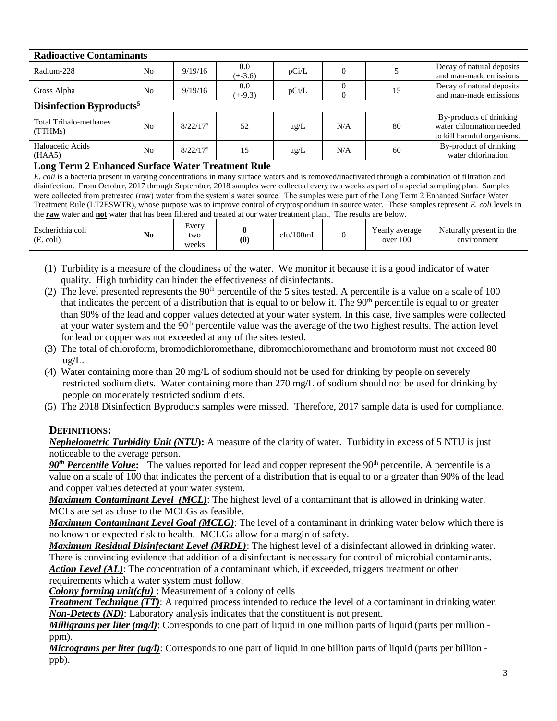| <b>Radioactive Contaminants</b>                                                                                                                   |                |             |           |       |     |    |                            |
|---------------------------------------------------------------------------------------------------------------------------------------------------|----------------|-------------|-----------|-------|-----|----|----------------------------|
| Radium-228                                                                                                                                        | N <sub>o</sub> | 9/19/16     | $0.0\,$   | pCi/L | 0   |    | Decay of natural deposits  |
|                                                                                                                                                   |                |             | $(+-3.6)$ |       |     |    | and man-made emissions     |
| Gross Alpha                                                                                                                                       | N <sub>0</sub> | 9/19/16     | $0.0\,$   | pCi/L |     | 15 | Decay of natural deposits  |
|                                                                                                                                                   |                |             | $(+-9.3)$ |       |     |    | and man-made emissions     |
| Disinfection Byproducts <sup>5</sup>                                                                                                              |                |             |           |       |     |    |                            |
|                                                                                                                                                   |                |             |           |       |     |    | By-products of drinking    |
| <b>Total Trihalo-methanes</b>                                                                                                                     | N <sub>o</sub> | $8/22/17^5$ | 52        | ug/L  | N/A | 80 | water chlorination needed  |
| (TTHMs)                                                                                                                                           |                |             |           |       |     |    | to kill harmful organisms. |
|                                                                                                                                                   |                |             |           |       |     |    |                            |
| Haloacetic Acids                                                                                                                                  | N <sub>0</sub> | $8/22/17^5$ | 15        | ug/L  | N/A | 60 | By-product of drinking     |
| (HAA5)                                                                                                                                            |                |             |           |       |     |    | water chlorination         |
| <b>Long Term 2 Enhanced Surface Water Treatment Rule</b>                                                                                          |                |             |           |       |     |    |                            |
| E. coli is a bacteria present in varying concentrations in many surface waters and is removed/inactivated through a combination of filtration and |                |             |           |       |     |    |                            |
| <b>TO A LAGE LAND LONG LONG HOLD LONG LONG HOLD LONG HOLD LONG HOLD LONG HOLD LONG HOLD LONG HOLD LONG HOLD LONG</b>                              |                |             |           |       |     |    |                            |

disinfection. From October, 2017 through September, 2018 samples were collected every two weeks as part of a special sampling plan. Samples were collected from pretreated (raw) water from the system's water source. The samples were part of the Long Term 2 Enhanced Surface Water Treatment Rule (LT2ESWTR), whose purpose was to improve control of cryptosporidium in source water. These samples represent *E. coli* levels in the **raw** water and **not** water that has been filtered and treated at our water treatment plant. The results are below.

| Escherichia coli<br>(E. coli) | $ -$<br>N0 | Every<br>two<br>weeks | $\boldsymbol{0}$ | cfu/100mL |  | rearly average<br>over 100 | Naturally present in the<br>environment |
|-------------------------------|------------|-----------------------|------------------|-----------|--|----------------------------|-----------------------------------------|
|-------------------------------|------------|-----------------------|------------------|-----------|--|----------------------------|-----------------------------------------|

(1) Turbidity is a measure of the cloudiness of the water. We monitor it because it is a good indicator of water quality. High turbidity can hinder the effectiveness of disinfectants.

- (2) The level presented represents the  $90<sup>th</sup>$  percentile of the 5 sites tested. A percentile is a value on a scale of 100 that indicates the percent of a distribution that is equal to or below it. The  $90<sup>th</sup>$  percentile is equal to or greater than 90% of the lead and copper values detected at your water system. In this case, five samples were collected at your water system and the 90<sup>th</sup> percentile value was the average of the two highest results. The action level for lead or copper was not exceeded at any of the sites tested.
- (3) The total of chloroform, bromodichloromethane, dibromochloromethane and bromoform must not exceed 80 ug/L.
- (4) Water containing more than 20 mg/L of sodium should not be used for drinking by people on severely restricted sodium diets. Water containing more than 270 mg/L of sodium should not be used for drinking by people on moderately restricted sodium diets.
- (5) The 2018 Disinfection Byproducts samples were missed. Therefore, 2017 sample data is used for compliance.

#### **DEFINITIONS:**

*Nephelometric Turbidity Unit (NTU***):** A measure of the clarity of water. Turbidity in excess of 5 NTU is just noticeable to the average person.

90<sup>th</sup> Percentile Value: The values reported for lead and copper represent the 90<sup>th</sup> percentile. A percentile is a value on a scale of 100 that indicates the percent of a distribution that is equal to or a greater than 90% of the lead and copper values detected at your water system.

*Maximum Contaminant Level (MCL)*: The highest level of a contaminant that is allowed in drinking water. MCLs are set as close to the MCLGs as feasible.

*Maximum Contaminant Level Goal (MCLG)*: The level of a contaminant in drinking water below which there is no known or expected risk to health. MCLGs allow for a margin of safety.

*Maximum Residual Disinfectant Level (MRDL)*: The highest level of a disinfectant allowed in drinking water. There is convincing evidence that addition of a disinfectant is necessary for control of microbial contaminants. *Action Level (AL)*: The concentration of a contaminant which, if exceeded, triggers treatment or other requirements which a water system must follow.

*Colony forming unit(cfu)* : Measurement of a colony of cells

*Treatment Technique (TT)*: A required process intended to reduce the level of a contaminant in drinking water. *Non-Detects (ND)*: Laboratory analysis indicates that the constituent is not present.

*Milligrams per liter (mg/l)*: Corresponds to one part of liquid in one million parts of liquid (parts per million ppm).

*Micrograms per liter (ug/l)*: Corresponds to one part of liquid in one billion parts of liquid (parts per billion ppb).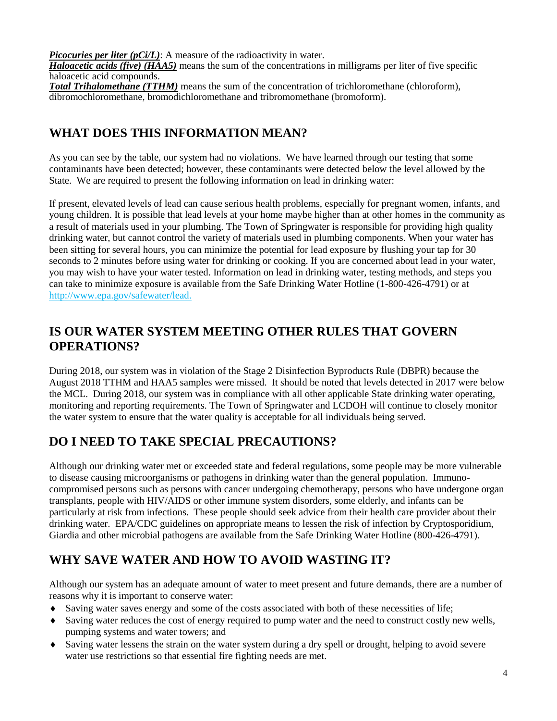*Picocuries per liter (pCi/L)*: A measure of the radioactivity in water.

*Haloacetic acids (five) (HAA5)* means the sum of the concentrations in milligrams per liter of five specific haloacetic acid compounds.

*Total Trihalomethane (TTHM)* means the sum of the concentration of trichloromethane (chloroform), dibromochloromethane, bromodichloromethane and tribromomethane (bromoform).

## **WHAT DOES THIS INFORMATION MEAN?**

As you can see by the table, our system had no violations. We have learned through our testing that some contaminants have been detected; however, these contaminants were detected below the level allowed by the State. We are required to present the following information on lead in drinking water:

If present, elevated levels of lead can cause serious health problems, especially for pregnant women, infants, and young children. It is possible that lead levels at your home maybe higher than at other homes in the community as a result of materials used in your plumbing. The Town of Springwater is responsible for providing high quality drinking water, but cannot control the variety of materials used in plumbing components. When your water has been sitting for several hours, you can minimize the potential for lead exposure by flushing your tap for 30 seconds to 2 minutes before using water for drinking or cooking. If you are concerned about lead in your water, you may wish to have your water tested. Information on lead in drinking water, testing methods, and steps you can take to minimize exposure is available from the Safe Drinking Water Hotline (1-800-426-4791) or at http://www.epa.gov/safewater/lead.

## **IS OUR WATER SYSTEM MEETING OTHER RULES THAT GOVERN OPERATIONS?**

During 2018, our system was in violation of the Stage 2 Disinfection Byproducts Rule (DBPR) because the August 2018 TTHM and HAA5 samples were missed. It should be noted that levels detected in 2017 were below the MCL. During 2018, our system was in compliance with all other applicable State drinking water operating, monitoring and reporting requirements. The Town of Springwater and LCDOH will continue to closely monitor the water system to ensure that the water quality is acceptable for all individuals being served.

# **DO I NEED TO TAKE SPECIAL PRECAUTIONS?**

Although our drinking water met or exceeded state and federal regulations, some people may be more vulnerable to disease causing microorganisms or pathogens in drinking water than the general population. Immunocompromised persons such as persons with cancer undergoing chemotherapy, persons who have undergone organ transplants, people with HIV/AIDS or other immune system disorders, some elderly, and infants can be particularly at risk from infections. These people should seek advice from their health care provider about their drinking water. EPA/CDC guidelines on appropriate means to lessen the risk of infection by Cryptosporidium, Giardia and other microbial pathogens are available from the Safe Drinking Water Hotline (800-426-4791).

# **WHY SAVE WATER AND HOW TO AVOID WASTING IT?**

Although our system has an adequate amount of water to meet present and future demands, there are a number of reasons why it is important to conserve water:

- Saving water saves energy and some of the costs associated with both of these necessities of life;
- Saving water reduces the cost of energy required to pump water and the need to construct costly new wells, pumping systems and water towers; and
- Saving water lessens the strain on the water system during a dry spell or drought, helping to avoid severe water use restrictions so that essential fire fighting needs are met.